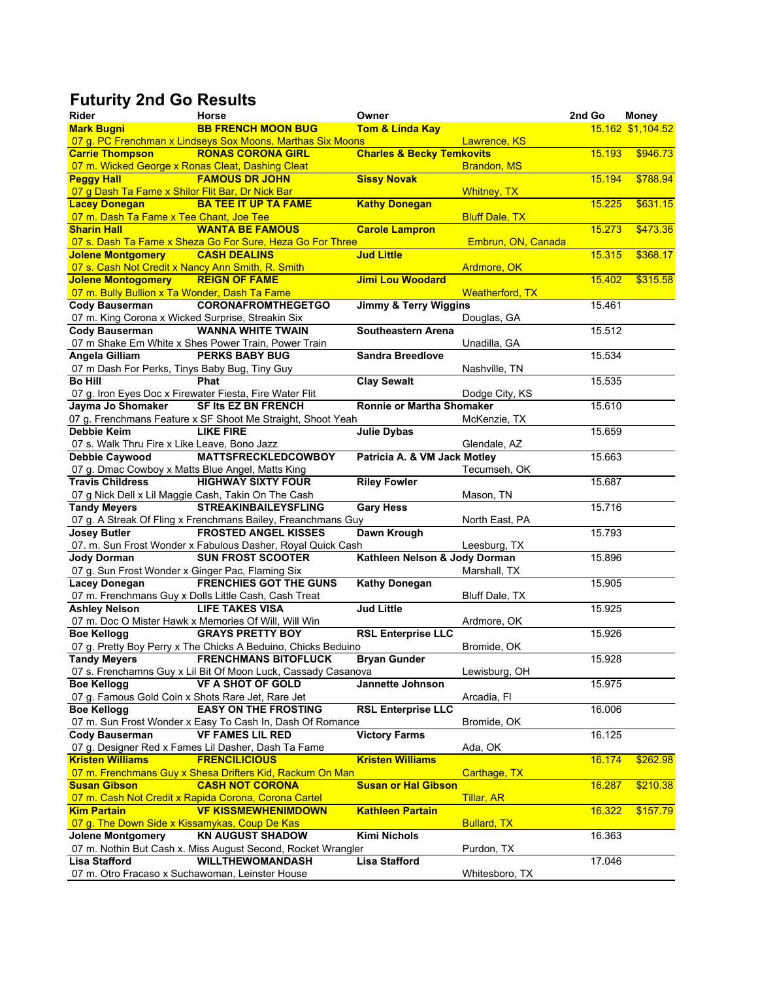## **Futurity 2nd Go Results**

| Rider                                               | Horse                                                         | Owner                                |                        | 2nd Go | Money             |
|-----------------------------------------------------|---------------------------------------------------------------|--------------------------------------|------------------------|--------|-------------------|
| <b>Mark Bugni</b>                                   | <b>BB FRENCH MOON BUG</b>                                     | <b>Tom &amp; Linda Kay</b>           |                        |        | 15 162 \$1,104.52 |
|                                                     | 07 g. PC Frenchman x Lindseys Sox Moons, Marthas Six Moons    |                                      | Lawrence, KS           |        |                   |
| <b>Carrie Thompson</b>                              | <b>RONAS CORONA GIRL</b>                                      | <b>Charles &amp; Becky Temkovits</b> |                        | 15.193 | \$946.73          |
| 07 m. Wicked George x Ronas Cleat, Dashing Cleat    |                                                               |                                      | <b>Brandon, MS</b>     |        |                   |
| <b>Peggy Hall</b>                                   | <b>FAMOUS DR JOHN</b>                                         | <b>Sissy Novak</b>                   |                        | 15.194 | \$788.94          |
| 07 g Dash Ta Fame x Shilor Flit Bar, Dr Nick Bar    |                                                               |                                      | <b>Whitney, TX</b>     |        |                   |
| <b>Lacey Donegan</b>                                | <b>BA TEE IT UP TA FAME</b>                                   | <b>Kathy Donegan</b>                 |                        | 15.225 | \$631.15          |
| 07 m. Dash Ta Fame x Tee Chant, Joe Tee             |                                                               |                                      | <b>Bluff Dale, TX</b>  |        |                   |
| <b>Sharin Hall</b>                                  | <b>WANTA BE FAMOUS</b>                                        | <b>Carole Lampron</b>                |                        | 15.273 | \$473.36          |
|                                                     | 07 s. Dash Ta Fame x Sheza Go For Sure, Heza Go For Three     |                                      | Embrun, ON, Canada     |        |                   |
| <b>Jolene Montgomery</b>                            | <b>CASH DEALINS</b>                                           | <b>Jud Little</b>                    |                        | 15.315 | \$368.17          |
| 07 s. Cash Not Credit x Nancy Ann Smith, R. Smith   |                                                               |                                      | Ardmore, OK            |        |                   |
| <b>Jolene Montogomery</b>                           | <b>REIGN OF FAME</b>                                          | Jimi Lou Woodard                     |                        | 15.402 | \$315.58          |
| 07 m. Bully Bullion x Ta Wonder, Dash Ta Fame       |                                                               |                                      | <b>Weatherford, TX</b> |        |                   |
| <b>Cody Bauserman</b>                               | <b>CORONAFROMTHEGETGO</b>                                     | <b>Jimmy &amp; Terry Wiggins</b>     |                        | 15.461 |                   |
| 07 m. King Corona x Wicked Surprise, Streakin Six   |                                                               |                                      | Douglas, GA            |        |                   |
| <b>Cody Bauserman</b>                               | <b>WANNA WHITE TWAIN</b>                                      | <b>Southeastern Arena</b>            |                        | 15.512 |                   |
|                                                     | 07 m Shake Em White x Shes Power Train, Power Train           |                                      | Unadilla, GA           |        |                   |
| <b>Angela Gilliam</b>                               | <b>PERKS BABY BUG</b>                                         | <b>Sandra Breedlove</b>              |                        | 15.534 |                   |
| 07 m Dash For Perks, Tinys Baby Bug, Tiny Guy       |                                                               |                                      | Nashville, TN          |        |                   |
| <b>Bo Hill</b>                                      | Phat                                                          | <b>Clay Sewalt</b>                   |                        | 15.535 |                   |
|                                                     | 07 g. Iron Eyes Doc x Firewater Fiesta, Fire Water Flit       |                                      | Dodge City, KS         |        |                   |
| Jayma Jo Shomaker                                   | <b>SF Its EZ BN FRENCH</b>                                    | <b>Ronnie or Martha Shomaker</b>     |                        | 15.610 |                   |
|                                                     | 07 g. Frenchmans Feature x SF Shoot Me Straight, Shoot Yeah   |                                      | McKenzie, TX           |        |                   |
| Debbie Keim                                         | <b>LIKE FIRE</b>                                              | <b>Julie Dybas</b>                   |                        | 15.659 |                   |
| 07 s. Walk Thru Fire x Like Leave, Bono Jazz        |                                                               |                                      | Glendale, AZ           |        |                   |
| Debbie Caywood                                      | <b>MATTSFRECKLEDCOWBOY</b>                                    | Patricia A. & VM Jack Motley         |                        | 15.663 |                   |
| 07 g. Dmac Cowboy x Matts Blue Angel, Matts King    |                                                               |                                      | Tecumseh, OK           |        |                   |
| <b>Travis Childress</b>                             | <b>HIGHWAY SIXTY FOUR</b>                                     | <b>Riley Fowler</b>                  |                        | 15.687 |                   |
| 07 g Nick Dell x Lil Maggie Cash, Takin On The Cash |                                                               |                                      | Mason, TN              |        |                   |
| <b>Tandy Meyers</b>                                 | <b>STREAKINBAILEYSFLING</b>                                   | <b>Gary Hess</b>                     |                        | 15.716 |                   |
|                                                     | 07 g. A Streak Of Fling x Frenchmans Bailey, Freanchmans Guy  |                                      | North East, PA         |        |                   |
| <b>Josey Butler</b>                                 | <b>FROSTED ANGEL KISSES</b>                                   | <b>Dawn Krough</b>                   |                        | 15.793 |                   |
|                                                     | 07. m. Sun Frost Wonder x Fabulous Dasher, Royal Quick Cash   |                                      | Leesburg, TX           |        |                   |
| <b>Jody Dorman</b>                                  | <b>SUN FROST SCOOTER</b>                                      | Kathleen Nelson & Jody Dorman        |                        | 15.896 |                   |
| 07 g. Sun Frost Wonder x Ginger Pac, Flaming Six    |                                                               |                                      | Marshall, TX           |        |                   |
| <b>Lacey Donegan</b>                                | <b>FRENCHIES GOT THE GUNS</b>                                 | <b>Kathy Donegan</b>                 |                        | 15.905 |                   |
|                                                     | 07 m. Frenchmans Guy x Dolls Little Cash, Cash Treat          |                                      | Bluff Dale, TX         |        |                   |
| <b>Ashley Nelson</b>                                | <b>LIFE TAKES VISA</b>                                        | <b>Jud Little</b>                    |                        | 15.925 |                   |
|                                                     | 07 m. Doc O Mister Hawk x Memories Of Will, Will Win          |                                      | Ardmore, OK            |        |                   |
| <b>Boe Kellogg</b>                                  | <b>GRAYS PRETTY BOY</b>                                       | <b>RSL Enterprise LLC</b>            |                        | 15.926 |                   |
|                                                     | 07 g. Pretty Boy Perry x The Chicks A Beduino, Chicks Beduino |                                      | Bromide, OK            |        |                   |
| <b>Tandy Meyers</b>                                 | <b>FRENCHMANS BITOFLUCK</b>                                   | <b>Bryan Gunder</b>                  |                        | 15.928 |                   |
|                                                     | 07 s. Frenchamns Guy x Lil Bit Of Moon Luck, Cassady Casanova |                                      | Lewisburg, OH          |        |                   |
| <b>Boe Kellogg</b>                                  | <b>VF A SHOT OF GOLD</b>                                      | <b>Jannette Johnson</b>              |                        | 15.975 |                   |
| 07 g. Famous Gold Coin x Shots Rare Jet, Rare Jet   |                                                               |                                      | Arcadia, Fl            |        |                   |
| <b>Boe Kellogg</b>                                  | <b>EASY ON THE FROSTING</b>                                   | <b>RSL Enterprise LLC</b>            |                        | 16.006 |                   |
|                                                     | 07 m. Sun Frost Wonder x Easy To Cash In, Dash Of Romance     |                                      | Bromide, OK            |        |                   |
| <b>Cody Bauserman</b>                               | <b>VF FAMES LIL RED</b>                                       | <b>Victory Farms</b>                 |                        | 16.125 |                   |
|                                                     | 07 g. Designer Red x Fames Lil Dasher, Dash Ta Fame           |                                      | Ada, OK                |        |                   |
| <b>Kristen Williams</b>                             | <b>FRENCILICIOUS</b>                                          | <b>Kristen Williams</b>              |                        | 16.174 | \$262.98          |
|                                                     | 07 m. Frenchmans Guy x Shesa Drifters Kid, Rackum On Man      |                                      | Carthage, TX           |        |                   |
| <b>Susan Gibson</b>                                 | <b>CASH NOT CORONA</b>                                        | <b>Susan or Hal Gibson</b>           |                        | 16.287 | \$210.38          |
|                                                     | 07 m. Cash Not Credit x Rapida Corona, Corona Cartel          |                                      | <b>Tillar, AR</b>      |        |                   |
| <b>Kim Partain</b>                                  | <b>VF KISSMEWHENIMDOWN</b>                                    | <b>Kathleen Partain</b>              |                        | 16.322 | \$157.79          |
| 07 g. The Down Side x Kissamykas, Coup De Kas       |                                                               |                                      | <b>Bullard, TX</b>     |        |                   |
| <b>Jolene Montgomery</b>                            | <b>KN AUGUST SHADOW</b>                                       | <b>Kimi Nichols</b>                  |                        | 16.363 |                   |
|                                                     | 07 m. Nothin But Cash x. Miss August Second, Rocket Wrangler  |                                      | Purdon, TX             |        |                   |
| <b>Lisa Stafford</b>                                | <b>WILLTHEWOMANDASH</b>                                       | <b>Lisa Stafford</b>                 |                        | 17.046 |                   |
| 07 m. Otro Fracaso x Suchawoman, Leinster House     |                                                               |                                      | Whitesboro, TX         |        |                   |